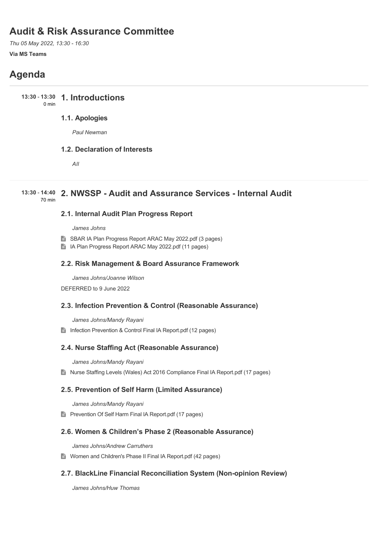# **Audit & Risk Assurance Committee**

*Thu 05 May 2022, 13:30 - 16:30*

# **Via MS Teams**

# **Agenda**

**1. Introductions 13:30** - **13:30** 0 min

# **1.1. Apologies**

*Paul Newman*

# **1.2. Declaration of Interests**

*All*

# **2. NWSSP - Audit and Assurance Services - Internal Audit 13:30** - **14:40** 70 min

# **2.1. Internal Audit Plan Progress Report**

*James Johns*

- SBAR IA Plan Progress Report ARAC May 2022.pdf (3 pages)
- IA Plan Progress Report ARAC May 2022.pdf (11 pages)

# **2.2. Risk Management & Board Assurance Framework**

*James Johns/Joanne Wilson* DEFERRED to 9 June 2022

# **2.3. Infection Prevention & Control (Reasonable Assurance)**

*James Johns/Mandy Rayani*

Infection Prevention & Control Final IA Report.pdf (12 pages)

# **2.4. Nurse Staffing Act (Reasonable Assurance)**

*James Johns/Mandy Rayani*

■ Nurse Staffing Levels (Wales) Act 2016 Compliance Final IA Report.pdf (17 pages)

# **2.5. Prevention of Self Harm (Limited Assurance)**

*James Johns/Mandy Rayani*

**Prevention Of Self Harm Final IA Report.pdf (17 pages)** 

# **2.6. Women & Children's Phase 2 (Reasonable Assurance)**

*James Johns/Andrew Carruthers*

Women and Children's Phase II Final IA Report.pdf (42 pages)

# **2.7. BlackLine Financial Reconciliation System (Non-opinion Review)**

*James Johns/Huw Thomas*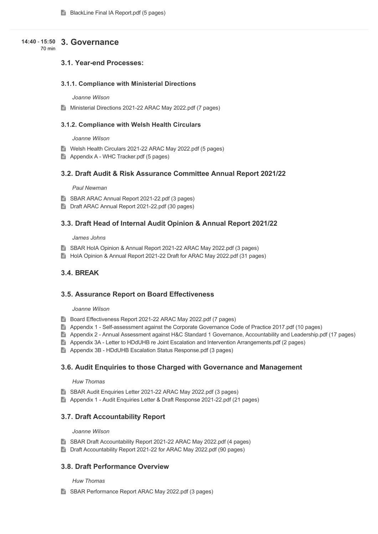# **3. Governance 14:40** - **15:50**

70 min

# **3.1. Year-end Processes:**

# **3.1.1. Compliance with Ministerial Directions**

#### *Joanne Wilson*

Ministerial Directions 2021-22 ARAC May 2022.pdf (7 pages)

### **3.1.2. Compliance with Welsh Health Circulars**

#### *Joanne Wilson*

- Welsh Health Circulars 2021-22 ARAC May 2022.pdf (5 pages)
- Appendix A WHC Tracker.pdf (5 pages)

# **3.2. Draft Audit & Risk Assurance Committee Annual Report 2021/22**

#### *Paul Newman*

- SBAR ARAC Annual Report 2021-22.pdf (3 pages)
- **Draft ARAC Annual Report 2021-22.pdf (30 pages)**

### **3.3. Draft Head of Internal Audit Opinion & Annual Report 2021/22**

#### *James Johns*

- SBAR HolA Opinion & Annual Report 2021-22 ARAC May 2022.pdf (3 pages)
- HoIA Opinion & Annual Report 2021-22 Draft for ARAC May 2022.pdf (31 pages)

# **3.4. BREAK**

# **3.5. Assurance Report on Board Effectiveness**

#### *Joanne Wilson*

- Board Effectiveness Report 2021-22 ARAC May 2022.pdf (7 pages)
- Appendix 1 Self-assessment against the Corporate Governance Code of Practice 2017.pdf (10 pages)
- Appendix 2 Annual Assessment against H&C Standard 1 Governance, Accountability and Leadership.pdf (17 pages)
- Appendix 3A Letter to HDdUHB re Joint Escalation and Intervention Arrangements.pdf (2 pages)
- Appendix 3B HDdUHB Escalation Status Response.pdf (3 pages)

### **3.6. Audit Enquiries to those Charged with Governance and Management**

#### *Huw Thomas*

- SBAR Audit Enquiries Letter 2021-22 ARAC May 2022.pdf (3 pages)
- Appendix 1 Audit Enquiries Letter & Draft Response 2021-22.pdf (21 pages)

# **3.7. Draft Accountability Report**

#### *Joanne Wilson*

- SBAR Draft Accountability Report 2021-22 ARAC May 2022.pdf (4 pages)
- Draft Accountability Report 2021-22 for ARAC May 2022.pdf (90 pages)

# **3.8. Draft Performance Overview**

#### *Huw Thomas*

SBAR Performance Report ARAC May 2022.pdf (3 pages)